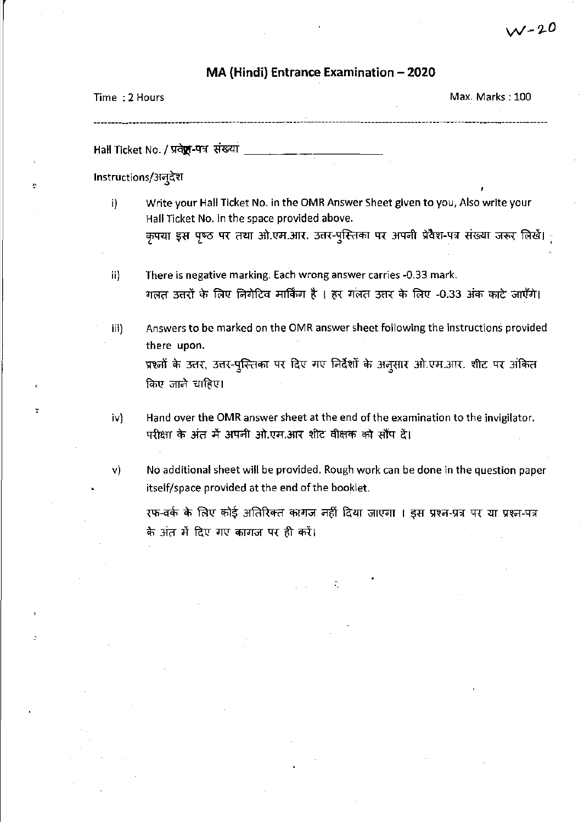## MA (Hindi) Entrance Examination - 2020

| Time: 2 Hours |  | Max. Marks: 100                       |
|---------------|--|---------------------------------------|
|               |  |                                       |
|               |  | ------------------------------------- |

Hall Ticket No. / प्रवेष्ट्र-पत्र संख्या

Instructions/अन्*देश* 

- i) Write your Hall Ticket No. in the OMR Answer Sheet given to you, Also write your Hall Ticket No. in the space provided above. कृपया इस पृष्ठ पर तथा ओ.एम.आर. उत्तर-पुस्तिका पर अपनी प्रवेश-पत्र संख्या जरूर लिखें।
- ii) There is negative marking. Each wrong answer carries -0.33 mark. गलत उत्तरों के लिए निगेटिव मार्किंग है । हर गलत उत्तर के लिए -0.33 अंक काटे जाएँगे।
- iii) Answers to be marked on the OMR answer sheet following the instructions provided there upon. प्रश्नों के उत्तर, उत्तर-पुस्तिका पर दिए गए निर्देशों के अनुसार ओ.एम.आर. शीट पर अंकित किए जाने चाहिए।
- iv) Hand over the OMR answer sheet at the end of the examination to the invigilator. परीक्षा के अंत में अपनी ओ.एम.आर शीट वीक्षक को सौंप दें।
- v) No additional sheet will be provided. Rough work can be done in the question paper itself/space provided at the end of the booklet.

रफ-वर्क के लिए कोई अतिरिक्त कागज नहीं दिया जाएगा । इस प्रश्न-प्रत्र पर या प्रश्न-पत्र के अंत में दिए गए कागज पर ही करें।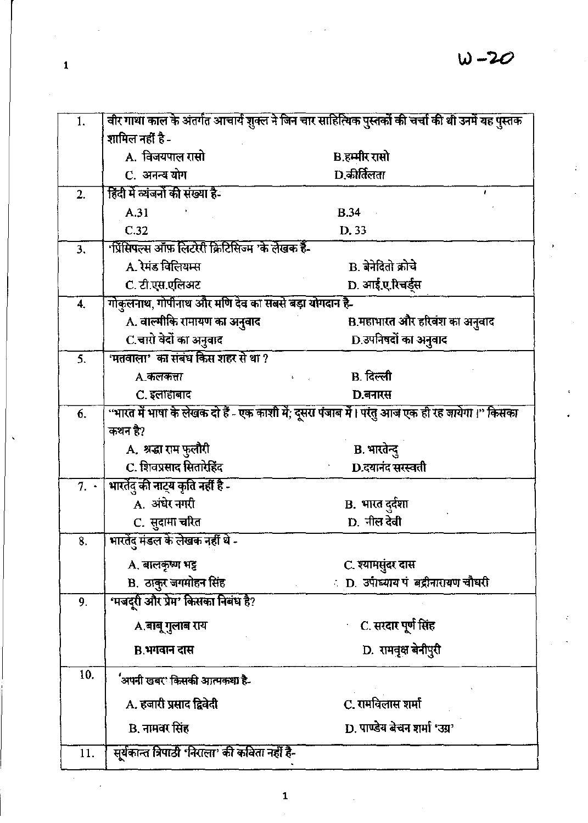| 1.             |                                                      | वीर गाथा काल के अंतर्गत आचार्य शुक्ल ने जिन चार साहित्यिक पुस्तकों की चर्चा की थी उनमें यह पुस्तक |
|----------------|------------------------------------------------------|---------------------------------------------------------------------------------------------------|
|                | शामिल नहीं है -                                      |                                                                                                   |
|                | A. विजयपाल रासो                                      | B.हम्मीर रासो                                                                                     |
|                | C. अनन्य योग                                         | D.कीर्तिलता                                                                                       |
| 2.             | हिंदी में व्यंजनों की संख्या है-                     |                                                                                                   |
|                | A.31                                                 | B.34                                                                                              |
|                | C.32                                                 | D. 33                                                                                             |
| 3 <sub>1</sub> | 'प्रिंसिपल्स ऑफ़ लिटरेरी क्रिटिसिज्म 'के लेखक हैं-   |                                                                                                   |
|                | A. रेमंड विलियम्स                                    | <b>B.</b> बेनेदितो क्रोचे                                                                         |
|                | C. टी.एस.एलिअट                                       | D. आई.ए.रिचर्ड्स                                                                                  |
| 4.             | गोकुलनाथ, गोपीनाथ और मणि देव का सबसे बड़ा योगदान है- |                                                                                                   |
|                | A. वाल्मीकि रामायण का अनुवाद                         | B.महाभारत और हरिवंश का अनुवाद                                                                     |
|                | C.चारो वेदों का अनुवाद                               | D.उपनिषदों का अनुवाद                                                                              |
| 5.             | 'मतवाला' का संबंध किस शहर से था ?                    |                                                                                                   |
|                | A.कलकत्ता                                            | B. दिल्ली                                                                                         |
|                | C. इलाहाबाद                                          | D.बनारस                                                                                           |
| 6.             |                                                      | प्रारत में भाषा के लेखक दो हैं - एक काशी में; दूसरा पंजाब में। परंतु आज एक ही रह जायेगा।" किसका   |
|                | कथन है?                                              |                                                                                                   |
|                | A. श्रद्धा राम फुलौरी                                | B. भारतेन्दु                                                                                      |
|                | C. शिवप्रसाद सितारेहिंद                              | D.दयानंद सरस्वती                                                                                  |
| $7. \cdot$     | भारतेंदु की नाट्य कृति नहीं है -                     |                                                                                                   |
|                | .<br>A. अंधेर नगरी                                   | B. भारत दुर्दशा<br>D. नील देवी                                                                    |
|                | C. सुदामा चरित                                       |                                                                                                   |
| 8.             | भारतेंदु मंडल के लेखक नहीं थे -                      |                                                                                                   |
|                | A. बालकृष्ण भट्ट                                     | C. श्यामसुंदर दास                                                                                 |
|                | B. ठाकुर जगमोहन सिंह                                 | : D. उपाध्याय पं बद्रीनारायण चौधरी                                                                |
| 9.             | 'मजदूरी और प्रेम' किसका निबंध है?                    |                                                                                                   |
|                | A.बाबू गुलाब राय                                     | C. सरदार पूर्ण सिंह                                                                               |
|                |                                                      |                                                                                                   |
|                | B.भगवान दास                                          | D. रामवृक्ष बेनीपुरी                                                                              |
| 10.            | 'अपनी खबर' किसकी आत्मकथा है-                         |                                                                                                   |
|                | A. हजारी प्रसाद द्विवेदी                             | C. रामविलास शर्मा                                                                                 |
|                | B. नामवर सिंह                                        | D. पाण्डेय बेचन शर्मा 'उग्र'                                                                      |
| 11.            | सूर्यकान्त त्रिपाठी 'निराला' की कविता नहीं है-       |                                                                                                   |
|                |                                                      |                                                                                                   |

 $\mathbf{1}$ 

l,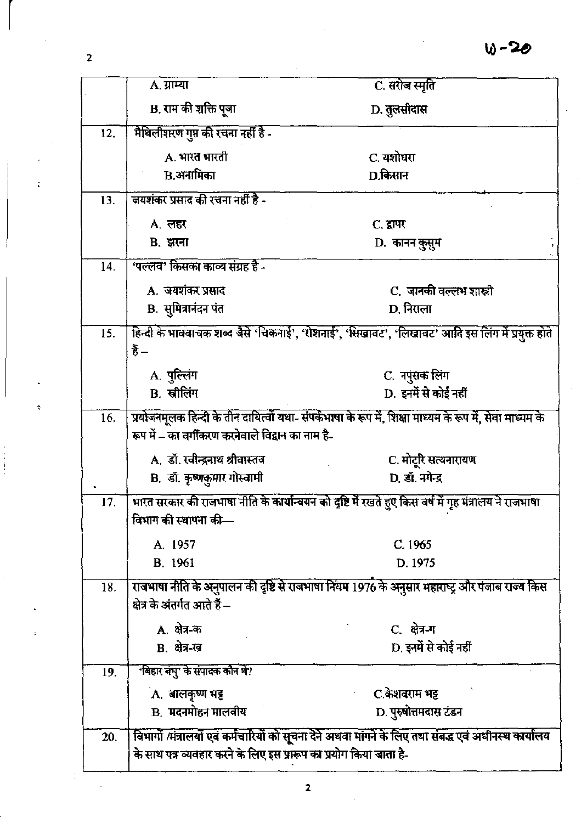|     | $A.$ ग्राम्या                                                      | C. सरोज स्मृति                                                                                           |
|-----|--------------------------------------------------------------------|----------------------------------------------------------------------------------------------------------|
|     | B. राम की शक्ति पूजा                                               | D. तुलसीदास                                                                                              |
| 12. | मैथिलीशरण गुप्त की रचना नहीं है -                                  |                                                                                                          |
|     | A. भारत भारती                                                      | C. यशोधरा                                                                                                |
|     | <b>B.अनामिका</b>                                                   | D.किसान                                                                                                  |
| 13. | जयशंकर प्रसाद की रचना नहीं है -                                    |                                                                                                          |
|     | A. लहर                                                             | C. द्वापर                                                                                                |
|     | <b>B.</b> झरना                                                     | D. कानन कुसुम                                                                                            |
| 14. | 'पल्लव' किसका काव्य संग्रह है -                                    |                                                                                                          |
|     | A. जयशंकर प्रसाद                                                   | C. जानकी वल्लभ शास्त्री                                                                                  |
|     | <b>B.</b> सुमित्रानंदन पंत                                         | D. निराला                                                                                                |
| 15. |                                                                    | हिन्दी के भाववाचक शब्द जैसे 'चिकनाई', 'रोशनाई', 'सिखावट', 'लिखावट' आदि इस लिंग में प्रयुक्त होते         |
|     | हैं –                                                              |                                                                                                          |
|     | A. पुल्लिंग                                                        | C. नपुंसक लिंग                                                                                           |
|     | B. स्त्रीलिंग                                                      | D. इनमें से कोई नहीं                                                                                     |
| 16. |                                                                    | प्रयोजनमूलक हिन्दी के तीन दायित्वों यथा- संपर्कभाषा के रूप में, शिक्षा माध्यम के रूप में, सेवा माध्यम के |
|     | रूप में – का वर्गीकरण करनेवाले विद्वान का नाम है-                  |                                                                                                          |
|     | A. डॉ. रवीन्द्रनाथ श्रीवास्तव                                      | C. मोटूरि सत्यनारायण                                                                                     |
|     | B. डॉ. कृष्णकुमार गोस्वामी                                         | D. डॉ. नगेन्द्र                                                                                          |
| 17. |                                                                    | भारत सरकार की राजभाषा नीति के कार्यान्वयन को दृष्टि में रखते हुए किस वर्ष में गृह मंत्रालय ने राजभाषा    |
|     | विभाग की स्थापना की—                                               |                                                                                                          |
|     | A. 1957                                                            | C. 1965                                                                                                  |
|     | <b>B.</b> 1961                                                     | D. 1975                                                                                                  |
| 18. |                                                                    | राजभाषा नीति के अनुपालन की दृष्टि से राजभाषा नियम 1976 के अनुसार महाराष्ट्र और पंजाब राज्य किस           |
|     | क्षेत्र के अंतर्गत आते हैं –                                       |                                                                                                          |
|     | A. क्षेत्र-क                                                       | C. क्षेत्र-ग                                                                                             |
|     | <b>B.</b> क्षेत्र-ख                                                | D. इनमें से कोई नहीं                                                                                     |
| 19. | 'बिहार बंधु' के संपादक कौन थे?                                     |                                                                                                          |
|     | A. बालकृष्ण भट्ट                                                   | C.केशवराम भट्ट                                                                                           |
|     | <b>B. मदनमोहन मालवीय</b>                                           | D. पुरुषोत्तमदास टंडन                                                                                    |
| 20. |                                                                    | विभागों /मंत्रालयों एवं कर्मचारियों को सूचना देने अथवा मांगने के लिए तथा संबद्ध एवं अधीनस्थ कार्यालय     |
|     | के साथ पत्र व्यवहार करने के लिए इस प्रारूप का प्रयोग किया जाता है- |                                                                                                          |

 $\overline{\mathbf{c}}$ 

 $\overline{\mathbf{c}}$ 

t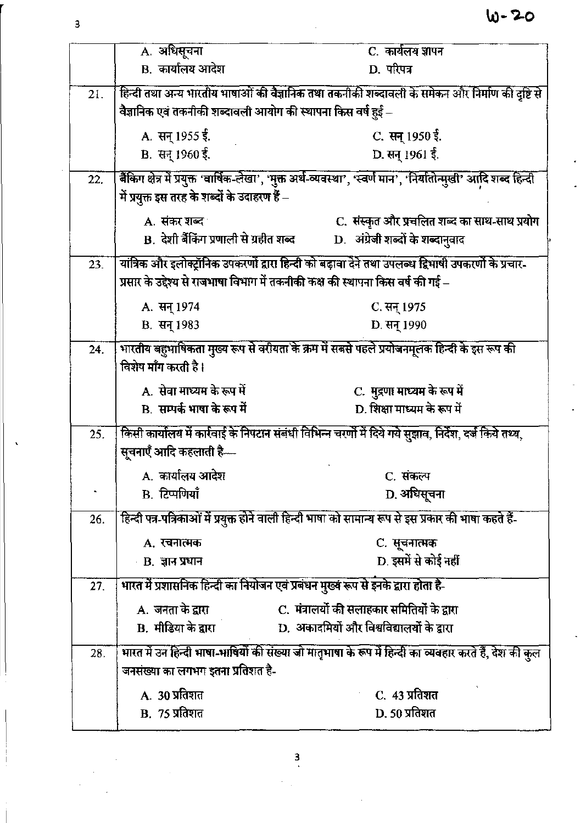|     | A. अधिसूचना                                                  | C. कार्यलय ज्ञापन                                                                                                 |
|-----|--------------------------------------------------------------|-------------------------------------------------------------------------------------------------------------------|
|     | B. कार्यालय आदेश                                             | D. परिपत्र                                                                                                        |
| 21. |                                                              | हिन्दी तथा अन्य भारतीय भाषाओं की वैज्ञानिक तथा तकनीकी शब्दावली के समेकन और निर्माण की दृष्टि से                   |
|     | वैज्ञानिक एवं तकनीकी शब्दावली आयोग की स्थापना किस वर्ष हुई – |                                                                                                                   |
|     | A. सन् 1955 ई.                                               | C. सन् 1950 ई.                                                                                                    |
|     | B. सन् 1960 ई.                                               | D. सन् 1961 ई.                                                                                                    |
| 22. |                                                              | बैंकिग क्षेत्र में प्रयुक्त 'वार्षिक-लेखा', 'मुक्त अर्थ-व्यवस्था', 'स्वर्ण मान', 'निर्यातोन्मुखी' आदि शब्द हिन्दी |
|     | .<br>में प्रयुक्त इस तरह के शब्दों के उदाहरण हैं –           |                                                                                                                   |
|     | A. संकर शब्द                                                 | C. संस्कृत और प्रचलित शब्द का साथ-साथ प्रयोग                                                                      |
|     | B. देशी बैंकिंग प्रणाली से ग्रहीत शब्द                       | D. अंग्रेजी शब्दों के शब्दानुवाद                                                                                  |
| 23. |                                                              | यांत्रिक और इलोक्ट्रॉनिक उपकरणों द्वारा हिन्दी को बढ़ावा देने तथा उपलब्ध द्विभाषी उपकरणों के प्रचार-              |
|     |                                                              | प्रसार के उद्देश्य से राजभाषा विभाग में तकनीकी कक्ष की स्थापना किस वर्ष की गई –                                   |
|     | A. सन् 1974                                                  | C. सन् 1975                                                                                                       |
|     | <b>B. सन् 1983</b>                                           | D. सन् 1990                                                                                                       |
| 24. |                                                              | भारतीय बहुभाषिकता मुख्य रूप से वरीयता के क्रम में सबसे पहले प्रयोजनमूलक हिन्दी के इस रूप की                       |
|     | विशेष माँग करती है।                                          |                                                                                                                   |
|     | A. सेवा माध्यम के रूप में                                    | C. मुद्रणा माध्यम के रूप में                                                                                      |
|     | B. सम्पर्क भाषा के रूप में                                   | D. शिक्षा माध्यम के रूप में                                                                                       |
| 25. |                                                              | किसी कार्यालय में कार्रवाई के निपटान संबंधी विभिन्न चरणों में दिये गये सुझाव, निर्देश, दर्ज किये तथ्य,            |
|     | सूचनाएँ आदि कहलाती है—                                       |                                                                                                                   |
|     | A. कार्यालय आदेश                                             | C. संकल्प                                                                                                         |
|     | B. टिप्पणियाँ                                                | D. अधिसूचना                                                                                                       |
| 26. |                                                              | हिन्दी पत्र-पत्रिकाओं में प्रयुक्त होने वाली हिन्दी भाषा को सामान्य रूप से इस प्रकार की भाषा कहते हैं-            |
|     | A. रचनात्मक                                                  | C. सूचनात्मक                                                                                                      |
|     | <b>B.</b> ज्ञान प्रधान                                       | D. इसमें से कोई नहीं                                                                                              |
| 27. |                                                              | भारत में प्रशासनिक हिन्दी का नियोजन एवं प्रबंधन मुख्य रूप से इनके द्वारा होता है-                                 |
|     | A. जनता के द्वारा                                            | C. मंत्रालयों की सलाहकार समितियों के द्वारा                                                                       |
|     | B. मीडिया के द्वारा                                          | D. अकादमियों और विश्वविद्यालयों के द्वारा                                                                         |
| 28. |                                                              | भारत में उन हिन्दी भाषा-भाषियों की संख्या जो मातृभाषा के रूप में हिन्दी का व्यवहार करते हैं, देश की कुल           |
|     | जनसंख्या का लगभग इतना प्रतिशत है-                            |                                                                                                                   |
|     | A. 30 प्रतिशत                                                | C. 43 प्रतिशत                                                                                                     |
|     | <b>B.</b> 75 प्रतिशत                                         | D. 50 प्रतिशत                                                                                                     |

 $\frac{3}{4}$ 

 $\cdot$ 

 $\overline{\mathbf{3}}$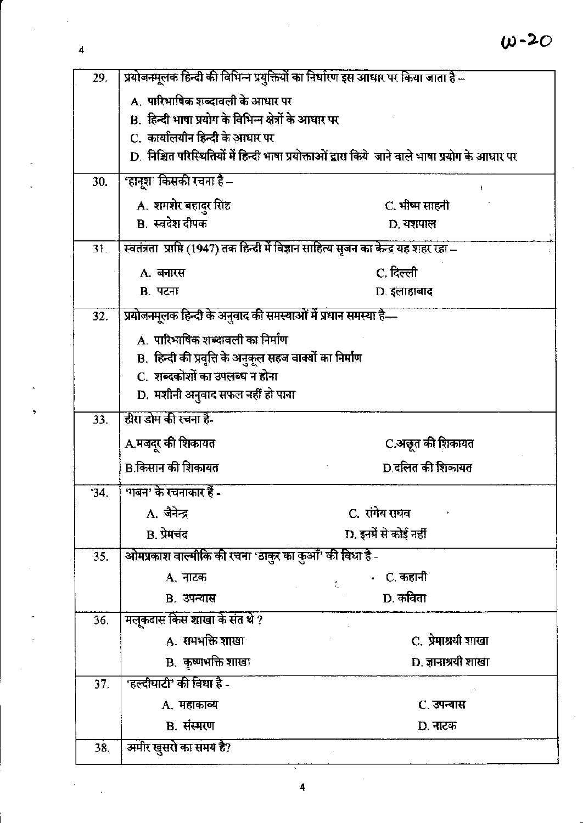## $W - 20$

 $\overline{4}$ 

| 29. |                                                                                        | प्रयोजनमूलक हिन्दी की विभिन्न प्रयुक्तियों का निर्धारण इस आधार पर किया जाता है                   |
|-----|----------------------------------------------------------------------------------------|--------------------------------------------------------------------------------------------------|
|     | A. पारिभाषिक शब्दावली के आधार पर                                                       |                                                                                                  |
|     | B. हिन्दी भाषा प्रयोग के विभिन्न क्षेत्रों के आधार पर                                  |                                                                                                  |
|     | C.  कार्यालयीन हिन्दी के आधार पर                                                       |                                                                                                  |
|     |                                                                                        | D. निश्चित परिस्थितियों में हिन्दी भाषा प्रयोक्ताओं द्वारा किये जाने वाले भाषा प्रयोग के आधार पर |
| 30. | 'हानूश' किसकी रचना है –                                                                |                                                                                                  |
|     | A. शमशेर बहादुर सिंह                                                                   | C. भीष्म साहनी                                                                                   |
|     | <b>B</b> स्वदेश दीपक                                                                   | D. यशपाल                                                                                         |
| 31. | स्वतंत्रता  प्राप्ति (1947) तक हिन्दी में विज्ञान साहित्य सृजन का केन्द्र यह शहर रहा – |                                                                                                  |
|     | A. बनारस                                                                               | C. दिल्ली                                                                                        |
|     | <b>B. पटना</b>                                                                         | D. इलाहाबाद                                                                                      |
| 32. | प्रयोजनमूलक हिन्दी के अनुवाद की समस्याओं में प्रधान समस्या है—                         |                                                                                                  |
|     | A. पारिभाषिक शब्दावली का निर्माण                                                       |                                                                                                  |
|     | B. हिन्दी की प्रवृत्ति के अनुकूल सहज वाक्यों का निर्माण                                |                                                                                                  |
|     | C. शब्दकोशों का उपलब्ध न होना                                                          |                                                                                                  |
|     | D. मशीनी अनुवाद सफल नहीं हो पाना                                                       |                                                                                                  |
| 33. | हीरा डोम की रचना है-                                                                   |                                                                                                  |
|     | A.मजदूर की शिकायत                                                                      | C.अछूत की शिकायत                                                                                 |
|     | B.किसान की शिकायत                                                                      | D.दलित की शिकायत                                                                                 |
| 34. | 'गबन' के रचनाकार हैं -                                                                 |                                                                                                  |
|     | A. जैनेन्द्र                                                                           | C. रांगेय राघव                                                                                   |
|     | <b>B.</b> प्रेमचंद                                                                     | D. इनमें से कोई नहीं                                                                             |
| 35. | ओमप्रकाश वाल्मीकि की रचना 'ठाकुर का कुआँ' की विधा है -                                 |                                                                                                  |
|     | A. नाटक                                                                                | .   C. कहानी                                                                                     |
|     | <b>B.</b> उपन्यास                                                                      | D. कविता                                                                                         |
| 36. | मलूकदास किस शाखा के संत थे ?                                                           |                                                                                                  |
|     | A. रामभक्ति शाखा                                                                       | C. प्रेमाश्रयी शाखा                                                                              |
|     |                                                                                        |                                                                                                  |
|     | B. कृष्णभक्ति शाखा                                                                     | D. ज्ञानाश्रयी शाखा                                                                              |
| 37. | 'हल्दीघाटी' की विधा है -                                                               |                                                                                                  |
|     | A. महाकाव्य                                                                            | C. उपन्यास                                                                                       |
|     | B. संस्मरण<br>अमीर खुसरो का समय है?                                                    | D. नाटक                                                                                          |

 $\bar{z}$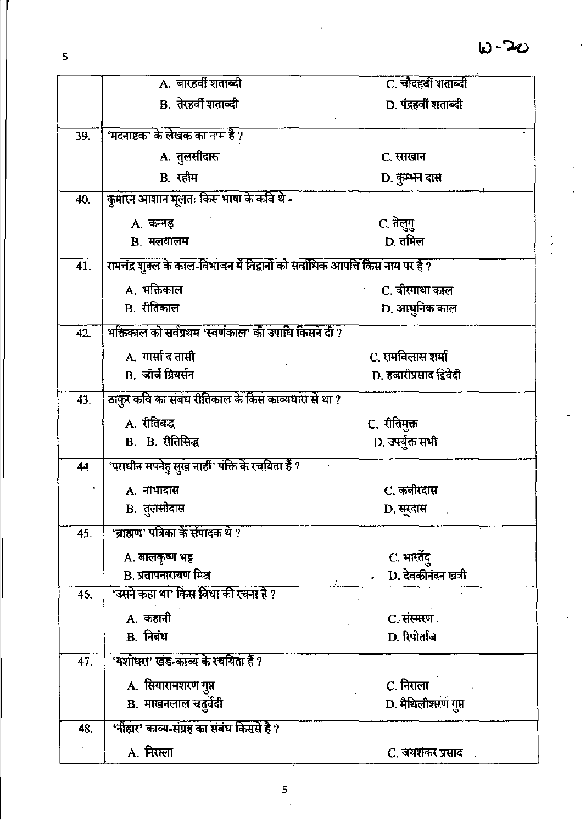|     | A. बारहवीं शताब्दी                                                            | C. चौदहवीं शताब्दी      |
|-----|-------------------------------------------------------------------------------|-------------------------|
|     | B. तेरहर्वी शताब्दी                                                           | D. पंद्रहवीं शताब्दी    |
| 39. | 'मदनाष्टक' के लेखक का नाम है ?                                                |                         |
|     | A. तुलसीदास                                                                   | C. रसखान                |
|     | B. रहीम                                                                       | D. कुम्भन दास           |
| 40. | कुमारन आशान मूलतः किस भाषा के कवि थे -                                        |                         |
|     | A. कन्नड़                                                                     | C. तेलुगु               |
|     | <b>B.</b> मलयालम                                                              | D. तमिल                 |
| 41. | रामचंद्र शुक्ल के काल-विभाजन में विद्वानों को सर्वाधिक आपत्ति किस नाम पर है ? |                         |
|     | A. भक्तिकाल                                                                   | C. वीरगाथा काल          |
|     | B. रीतिकाल                                                                    | D. आधुनिक काल           |
| 42. | भक्तिकाल को सर्वप्रथम 'स्वर्णकाल' की उपाधि किसने दी ?                         |                         |
|     | A. गार्सा द तासी                                                              | C. रामविलास शर्मा       |
|     | <b>B.</b> जॉर्ज ग्रियर्सन                                                     | D. हजारीप्रसाद द्विवेदी |
| 43. | ठाकुर कवि का संबंध रीतिकाल के किस काव्यधारा से था ?                           |                         |
|     | A. रीतिबद्ध                                                                   | C. रीतिमुक्त            |
|     | <b>B.</b> B. रीतिसिद्ध                                                        | D. उपर्युक्त सभी        |
| 44. | 'पराधीन सपनेहु सुख नाहीं' पंक्ति के रचयिता हैं ?                              |                         |
|     | A. नाभादास                                                                    | C. कबीरदास              |
|     | B. तुलसीदास                                                                   | D. सूरदास               |
| 45. | 'ब्राह्मण' पत्रिका के संपादक थे ?                                             |                         |
|     | A. बालकृष्ण भट्ट                                                              | C. भारतेंदु             |
|     | <b>B. प्रतापनारायण मिश्र</b>                                                  | D. देवकीनंदन खत्री      |
| 46. | 'उसने कहा था' किस विधा की रचना है ?                                           |                         |
|     | A. कहानी                                                                      | C. संस्मरण              |
|     | <b>B.</b> निबंध                                                               | D. रिपोर्ताज            |
| 47. | 'यशोधरा' खंड-काव्य के रचयिता हैं ?                                            |                         |
|     | A. सियारामशरण गुप्त                                                           | C. निराला               |
|     | B. माखनलाल चतुर्वेदी                                                          | D. मैथिलीशरण गुप्त      |
| 48. | 'नीहार' काव्य-संग्रह का संबंध किससे हैं ?                                     |                         |
|     | A. निराला                                                                     | C. जयशंकर प्रसाद        |

 $\overline{\mathbf{5}}$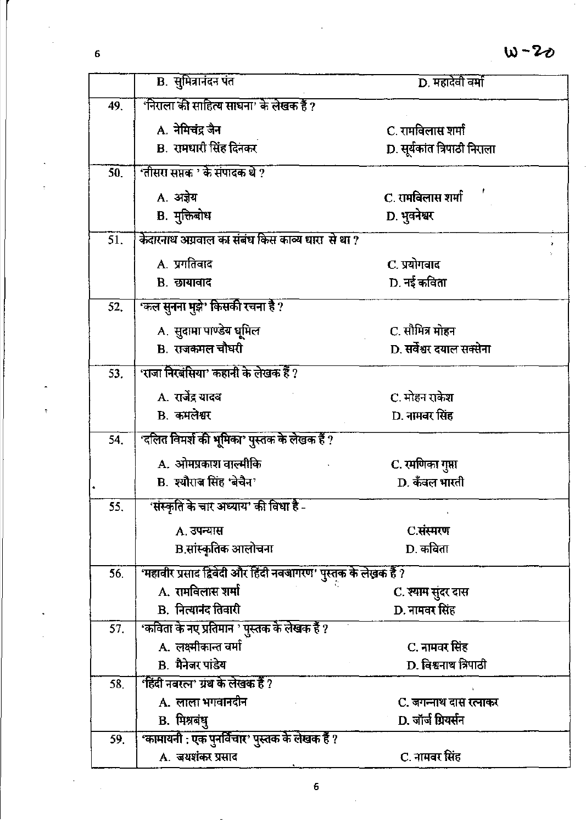|     | <b>B.</b> सुमित्रानंदन पंत                                     | D. महादेवी वर्मा             |  |
|-----|----------------------------------------------------------------|------------------------------|--|
| 49. | 'निराला की साहित्य साधना' के लेखक हैं ?                        |                              |  |
|     | A. नेमिचंद्र जैन                                               | C. रामविलास शर्मा            |  |
|     | B. रामधारी सिंह दिनकर                                          | D. सूर्यकांत त्रिपाठी निराला |  |
| 50. | 'तीसरा सप्तक ' के संपादक थे ?                                  |                              |  |
|     | A. अज्ञेय                                                      | C. रामविलास शर्मा            |  |
|     | B. मुक्तिबोध                                                   | D. भुवनेश्वर                 |  |
| 51. | केदारनाथ अग्रवाल का संबंध किस काव्य धारा से था ?               |                              |  |
|     | A. प्रगतिवाद                                                   | C. प्रयोगवाद                 |  |
|     | <b>B.</b> छायावाद                                              | D. नई कविता                  |  |
| 52. | 'कल सुनना मुझे' किसकी रचना है ?                                |                              |  |
|     | A. सुदामा पाण्डेय धूमिल                                        | C. सौमित्र मोहन              |  |
|     | <b>B.</b> राजकमल चौधरी                                         | D. सर्वेश्वर दयाल सक्सेना    |  |
| 53. | 'राजा निरबंसिया' कहानी के लेखक हैं ?                           |                              |  |
|     |                                                                |                              |  |
|     | A. रार्जेंद्र यादव                                             | C. मोहन राकेश                |  |
|     | <b>B.</b> कमलेश्वर                                             | D. नामवर सिंह                |  |
| 54. | 'दलित विमर्श की भूमिका' पुस्तक के लेखक हैं ?                   |                              |  |
|     | A. ओमप्रकाश वाल्मीकि                                           | C. रमणिका गुप्ता             |  |
|     | B. श्यौराज सिंह 'बेचैन'                                        | D. कँवल भारती                |  |
| 55. | 'संस्कृति के चार अध्याय' की विधा है -                          |                              |  |
|     | A. उपन्यास                                                     | C.संस्मरण                    |  |
|     | B.सांस्कृतिक आलोचना                                            | D. कविता                     |  |
| 56. | 'महावीर प्रसाद द्विवेदी और हिंदी नवजागरण' पुस्तक के लेखक हैं ? |                              |  |
|     | A. रामविलास शर्मा                                              | C. श्याम सुंदर दास           |  |
|     | B. नित्यानंद तिवारी                                            | D. नामवर सिंह                |  |
| 57. | 'कविता के नए प्रतिमान ' पुस्तक के लेखक हैं ?                   |                              |  |
|     | A. लक्ष्मीकान्त वर्मा                                          | C. नामवर सिंह                |  |
| 58. | <b>B.</b> मैनेजर पांडेय<br>'हिंदी नवरत्न' ग्रंथ के लेखक हैं ?  | D. विश्वनाथ त्रिपाठी         |  |
|     | A. लाला भगवानदीन                                               | C. जगन्नाथ दास रत्नाकर       |  |
|     | B. मिश्रबंधु                                                   | D. जॉर्ज ग्रियर्सन           |  |
| 59. | 'कामायनी : एक पुनर्विचार' पुस्तक के लेखक हैं ?                 |                              |  |
|     | A. जयशंकर प्रसाद                                               | C. नामवर सिंह                |  |

 $\overline{\phantom{a}}$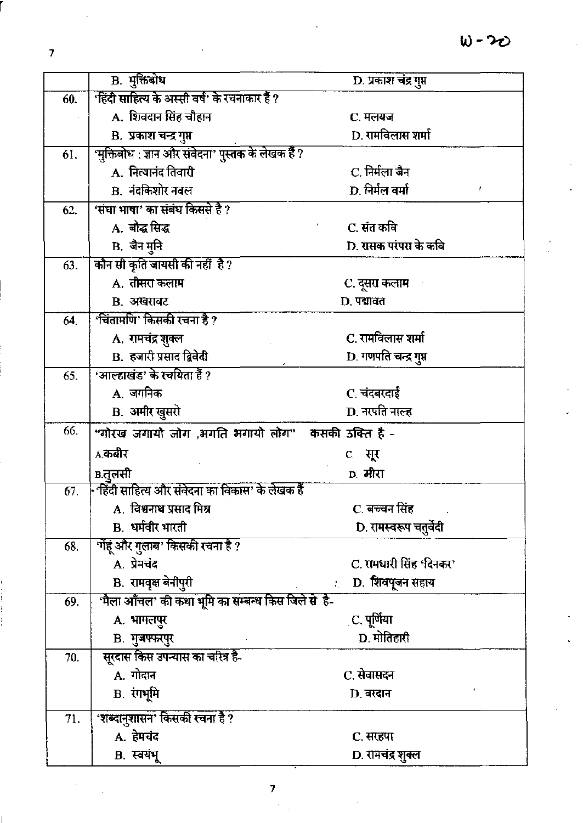|     | B. मुक्तिबोध                                        | D. प्रकाश चंद्र गुप्त    |  |
|-----|-----------------------------------------------------|--------------------------|--|
| 60. | 'हिंदी साहित्य के अस्सी वर्ष' के रचनाकार हैं ?      |                          |  |
|     | A. शिवदान सिंह चौहान                                | C. मलयज                  |  |
|     | B. प्रकाश चन्द्र गुप्त                              | D. रामविलास शर्मा        |  |
| 61. | 'मुक्तिबोध : ज्ञान और संवेदना' पुस्तक के लेखक हैं ? |                          |  |
|     | A. नित्यानंद तिवारी                                 | C. निर्मला जैन           |  |
|     | <b>B.</b> नंदकिशोर नवल                              | D. निर्मल वर्मा          |  |
| 62. | 'संधा भाषा' का संबंध किससे है ?                     |                          |  |
|     | A. बौद्ध सिद्ध                                      | C. संत कवि               |  |
|     | B. जैन मुनि                                         | D. रासक परंपरा के कवि    |  |
| 63. | कौन सी कृति जायसी की नहीं है?                       |                          |  |
|     | A. तीसरा कलाम                                       | C. दूसरा कलाम            |  |
|     | <b>B.</b> अखरावट                                    | D. पद्मावत               |  |
| 64. | 'चिंतामणि' किसकी रचना है ?                          |                          |  |
|     | A. रामचंद्र शुक्ल                                   | C. रामविलास शर्मा        |  |
|     | B. हजारी प्रसाद द्विवेदी                            | D. गणपति चन्द्र गुप्त    |  |
| 65. | 'आल्हाखंड' के रचयिता हैं ?                          |                          |  |
|     | A. जगनिक                                            | C. चंदबरदाई              |  |
|     | <b>B.</b> अमीर खुसरो                                | D. नरपति नाल्ह           |  |
| 66. | "गोरख जगायो जोग ,भगति भगायो लोग" कसकी उक्ति है -    |                          |  |
|     | A.कबीर                                              | c. सूर                   |  |
|     | в.तूलसी                                             | D. मीरा                  |  |
| 67. | • हिंदी साहित्य और संवेदना का विकास' के लेखक हैं    |                          |  |
|     | A.  विश्वनाथ प्रसाद मिश्र                           | C. बच्चन सिंह            |  |
|     | B. धर्मवीर भारती                                    | D. रामस्वरूप चतुर्वेदी   |  |
| 68. | 'गेंहूं और गुलाब' किसकी रचना है $\overline{?}$      |                          |  |
|     | A. प्रेमचंद                                         | C. रामधारी सिंह 'दिनकर'  |  |
|     | B. रामवृक्ष बेनीपुरी                                | : D. शिवपूजन सहाय        |  |
| 69. | 'मैला आँचल' की कथा भूमि का सम्बन्ध किस जिले से है-  |                          |  |
|     | A. भागलपुर                                          | <sub>.</sub> C. पूर्णिया |  |
|     | <b>B.</b> मुजफ्फरपुर                                | D. मोतिहारी              |  |
| 70. | सूरदास किस उपन्यास का चरित्र है-                    |                          |  |
|     | A. गोदान                                            | C. सेवासदन               |  |
|     | <b>B.</b> रंगभूमि                                   | D. वरदान                 |  |
| 71. | 'शब्दानुशासन' किसकी रचना है ?                       |                          |  |
|     | A. हेमचंद                                           | C. सरहपा                 |  |
|     | B. स्वयंभू                                          | D. रामचंद्र शुक्ल        |  |
|     |                                                     |                          |  |

 $\bar{z}$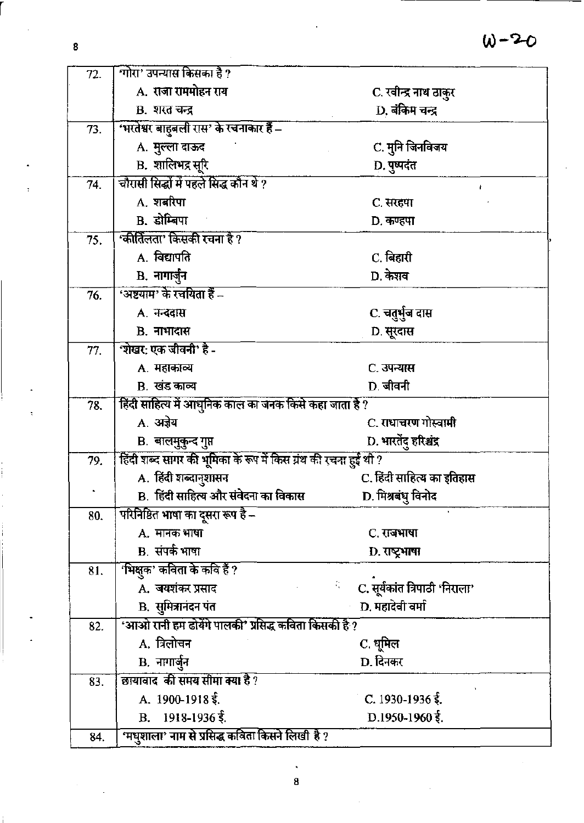| 72. | गोरा' उपन्यास किसका है ?                                        |                                      |  |
|-----|-----------------------------------------------------------------|--------------------------------------|--|
|     | A. राजा राममोहन राय                                             | C. रवीन्द्र नाथ ठाकुर                |  |
|     | B. शरत चन्द्र                                                   | D. बंकिम चन्द्र                      |  |
| 73. | 'भरतेश्वर बाहुबली रास' के रचनाकार हैं –                         |                                      |  |
|     | A. मुल्ला दाऊद                                                  | C. मुनि जिनविजय                      |  |
|     | <b>B.</b> शालिभद्र सूरि                                         | D. पुष्पदंत                          |  |
| 74. | चौरासी सिद्धों में पहले सिद्ध कौन थे ?                          |                                      |  |
|     | A. शबरिपा                                                       | C. सरहपा                             |  |
|     | <b>B.</b> डोम्बिपा                                              | D. कण्हपा                            |  |
| 75. | 'कीर्तिलता' किसकी रचना है ?                                     |                                      |  |
|     | A. विद्यापति                                                    | C. बिहारी                            |  |
|     | B. नागार्जुन                                                    | D. केशव                              |  |
| 76. | 'अष्टयाम' के रचयिता हैं –                                       |                                      |  |
|     | A. नन्ददास                                                      | C. चतुर्भुज दास                      |  |
|     | <b>B.</b> नाभादास                                               | D. सूरदास                            |  |
| 77. | 'शेखर: एक जीवनी' है -                                           |                                      |  |
|     | A. महाकाव्य                                                     | C. उपन्यास                           |  |
|     | B. खंड काव्य                                                    | D. जीवनी                             |  |
| 78. | हिंदी साहित्य में आधुनिक काल का जनक किसे कहा जाता है ?          |                                      |  |
|     | A. अज्ञेय                                                       | C. राधाचरण गोस्वामी                  |  |
|     | B. बालमुकुन्द गुप्त                                             | D. भारतेंदु हरिश्चंद्र               |  |
| 79. | हिंदी शब्द सागर की भूमिका के रूप में किस ग्रंथ की रचना हुई थी ? |                                      |  |
|     | A. हिंदी शब्दानुशासन                                            | C. हिंदी साहित्य का इतिहास           |  |
|     | B. हिंदी साहित्य और संवेदना का विकास                            | D. मिश्रबंधु विनोद                   |  |
| 80. | परिनिष्ठित भाषा का दूसरा रूप है –                               |                                      |  |
|     | A. मानक भाषा                                                    | C. राजभाषा                           |  |
|     | <b>B.</b> संपर्क भाषा                                           | D. राष्ट्रभाषा                       |  |
| 81. | 'भिक्षुक' कविता के कवि हैं ?                                    |                                      |  |
|     | A. जयशंकर प्रसाद                                                | C. सूर्यकांत त्रिपाठी 'निराला'<br>Ñ. |  |
|     | <b>B.</b> सुमित्रानंदन पंत                                      | D. महादेवी वर्मा                     |  |
| 82. | 'आओ रानी हम ढोयेंगे पालकी' प्रसिद्ध कविता किसकी है ?            |                                      |  |
|     | A. त्रिलोचन                                                     | C. धूमिल                             |  |
|     | <b>B.</b> नागार्जुन                                             | D. दिनकर                             |  |
| 83. | छायावाद की समय सीमा क्या है ?                                   |                                      |  |
|     | A. $1900 - 1918$ $\xi$ .                                        | C. 1930-1936 $\frac{2}{3}$ .         |  |
|     | B. $1918-1936\frac{2}{3}$ .                                     | D.1950-1960 $\frac{2}{3}$ .          |  |
| 84. | 'मधुशाला' नाम से प्रसिद्ध कविता किसने लिखी है ?                 |                                      |  |

8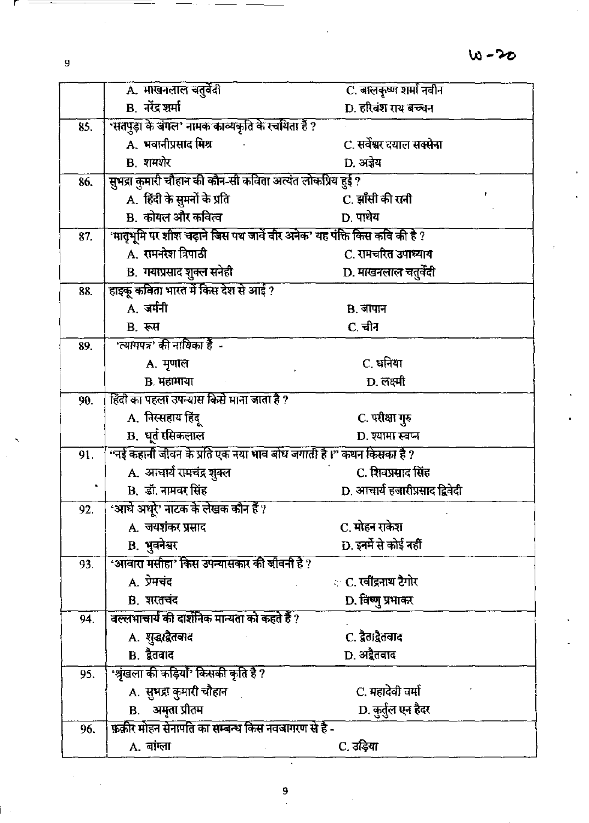|     | A. माखनलाल चतुर्वेदी                                                     | C. बालकृष्ण शर्मा नवीन         |  |
|-----|--------------------------------------------------------------------------|--------------------------------|--|
|     | <b>B.</b> नरेंद्र शर्मा                                                  | D. हरिवंश राय बच्चन            |  |
| 85. | सतपुड़ा के जंगल' नामक काव्यकृति के रचयिता हैं ?                          |                                |  |
|     | A. भवानीप्रसाद मिश्र                                                     | C. सर्वेश्वर दयाल सक्सेना      |  |
|     | <b>B.</b> शमशेर                                                          | D. अज्ञेय                      |  |
| 86. | सुभद्रा कुमारी चौहान की कौन-सी कविता अत्यंत लोकप्रिय हुई ?               |                                |  |
|     | A. हिंदी के सुमनों के प्रति                                              | C. झाँसी की रानी               |  |
|     | B. कोयल और कवित्व                                                        | D. पाथेय                       |  |
| 87. | 'मातृभूमि पर शीश चढ़ाने जिस पथ जावें वीर अनेक' यह पंक्ति किस कवि की है ? |                                |  |
|     | A. रामनरेश त्रिपाठी                                                      | C. रामचरित उपाध्याय            |  |
|     | B. गयाप्रसाद शुक्ल सनेही                                                 | D. माखनलाल चतुर्वेदी           |  |
| 88. | हाइकू कविता भारत में किस देश से आई ?                                     |                                |  |
|     | A. जर्मनी                                                                | <b>B.</b> जापान                |  |
|     | B. रूस                                                                   | C. चीन                         |  |
| 89. | 'त्यागपत्र' की नायिका हैं -                                              |                                |  |
|     | A. मृणाल                                                                 | C. धनिया                       |  |
|     | B. महामाया                                                               | D. लक्ष्मी                     |  |
| 90. | हिंदी का पहला उपन्यास किसे माना जाता है ?                                |                                |  |
|     | A. निस्सहाय हिंदू                                                        | C. परीक्षा गुरु                |  |
|     | B. धूर्त रसिकलाल                                                         | D. श्यामा स्वप्न               |  |
| 91. | "नई कहानी जीवन के प्रति एक नया भाव बोध जगाती है।" कथन किसका है ?         |                                |  |
|     | A. आचार्य रामचंद्र शुक्ल                                                 | C. शिवप्रसाद सिंह              |  |
|     | <b>B.</b> डॉ. नामवर सिंह                                                 | D. आचार्य हजारीप्रसाद द्विवेदी |  |
| 92. | 'आधे अधूरे' नाटक के लेखक कौन हैं ?                                       |                                |  |
|     | A. जयशंकर प्रसाद                                                         | C. मोहन राकेश                  |  |
|     | B. भुवनेश्वर                                                             | D. इनमें से कोई नहीं           |  |
| 93, | 'आवारा मसीहा' किस उपन्यासकार की जीवनी है ?                               |                                |  |
|     | A. प्रेमचंद                                                              | ः C. रवींद्रनाथ टैगोर          |  |
|     | B. शरतचंद<br>वल्लभाचार्य की दार्शनिक मान्यता को कहते हैं ?               | D. विष्णु प्रभाकर              |  |
| 94. |                                                                          | C. द्वैताद्वैतवाद              |  |
|     | A. शुद्धाद्वैतवाद<br><b>B.</b> द्वैतवाद                                  | D. अद्वैतवाद                   |  |
|     | 'श्रृंखला की कड़ियाँ' किसकी कृति है ?                                    |                                |  |
| 95. | A. सुभद्रा कुमारी चौहान                                                  | C. महादेवी वर्मा               |  |
|     | <b>B.</b> अमृता प्रीतम                                                   | D. कुर्तुल एन हैदर             |  |
| 96. | फ़र्क़ार मोहन सेनापति का सम्बन्ध किस नवजागरण से है -                     |                                |  |
|     | A. बांग्ला                                                               | C. उड़िया                      |  |
|     |                                                                          |                                |  |

 $\overline{9}$ 

k